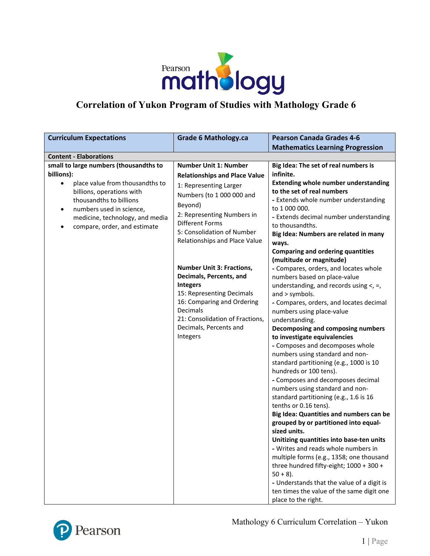

## **Correlation of Yukon Program of Studies with Mathology Grade 6**

| <b>Grade 6 Mathology.ca</b>                                                                                                                                                                                                                                                                                                                                                                                                                                                                     | <b>Pearson Canada Grades 4-6</b>                                                                                                                                                                                                                                                                                                                                                                                                                                                                                                                                                                                                                                                                                                                                                                                                                                                                                                                                                                                                                                                                                                                                                                                                                                                                                         |  |  |
|-------------------------------------------------------------------------------------------------------------------------------------------------------------------------------------------------------------------------------------------------------------------------------------------------------------------------------------------------------------------------------------------------------------------------------------------------------------------------------------------------|--------------------------------------------------------------------------------------------------------------------------------------------------------------------------------------------------------------------------------------------------------------------------------------------------------------------------------------------------------------------------------------------------------------------------------------------------------------------------------------------------------------------------------------------------------------------------------------------------------------------------------------------------------------------------------------------------------------------------------------------------------------------------------------------------------------------------------------------------------------------------------------------------------------------------------------------------------------------------------------------------------------------------------------------------------------------------------------------------------------------------------------------------------------------------------------------------------------------------------------------------------------------------------------------------------------------------|--|--|
|                                                                                                                                                                                                                                                                                                                                                                                                                                                                                                 | <b>Mathematics Learning Progression</b>                                                                                                                                                                                                                                                                                                                                                                                                                                                                                                                                                                                                                                                                                                                                                                                                                                                                                                                                                                                                                                                                                                                                                                                                                                                                                  |  |  |
| <b>Content - Elaborations</b>                                                                                                                                                                                                                                                                                                                                                                                                                                                                   |                                                                                                                                                                                                                                                                                                                                                                                                                                                                                                                                                                                                                                                                                                                                                                                                                                                                                                                                                                                                                                                                                                                                                                                                                                                                                                                          |  |  |
| <b>Number Unit 1: Number</b><br><b>Relationships and Place Value</b><br>1: Representing Larger<br>Numbers (to 1 000 000 and<br>Beyond)<br>2: Representing Numbers in<br><b>Different Forms</b><br>5: Consolidation of Number<br>Relationships and Place Value<br><b>Number Unit 3: Fractions,</b><br>Decimals, Percents, and<br><b>Integers</b><br>15: Representing Decimals<br>16: Comparing and Ordering<br>Decimals<br>21: Consolidation of Fractions,<br>Decimals, Percents and<br>Integers | Big Idea: The set of real numbers is<br>infinite.<br><b>Extending whole number understanding</b><br>to the set of real numbers<br>- Extends whole number understanding<br>to 1 000 000.<br>- Extends decimal number understanding<br>to thousandths.<br>Big Idea: Numbers are related in many<br>ways.<br><b>Comparing and ordering quantities</b><br>(multitude or magnitude)<br>- Compares, orders, and locates whole<br>numbers based on place-value<br>understanding, and records using $\lt$ , =,<br>and > symbols.<br>- Compares, orders, and locates decimal<br>numbers using place-value<br>understanding.<br>Decomposing and composing numbers<br>to investigate equivalencies<br>- Composes and decomposes whole<br>numbers using standard and non-<br>standard partitioning (e.g., 1000 is 10<br>hundreds or 100 tens).<br>- Composes and decomposes decimal<br>numbers using standard and non-<br>standard partitioning (e.g., 1.6 is 16<br>tenths or 0.16 tens).<br>Big Idea: Quantities and numbers can be<br>grouped by or partitioned into equal-<br>sized units.<br>Unitizing quantities into base-ten units<br>- Writes and reads whole numbers in<br>multiple forms (e.g., 1358; one thousand<br>three hundred fifty-eight; 1000 + 300 +<br>$50 + 8$ ).<br>- Understands that the value of a digit is |  |  |
|                                                                                                                                                                                                                                                                                                                                                                                                                                                                                                 |                                                                                                                                                                                                                                                                                                                                                                                                                                                                                                                                                                                                                                                                                                                                                                                                                                                                                                                                                                                                                                                                                                                                                                                                                                                                                                                          |  |  |



Mathology 6 Curriculum Correlation – Yukon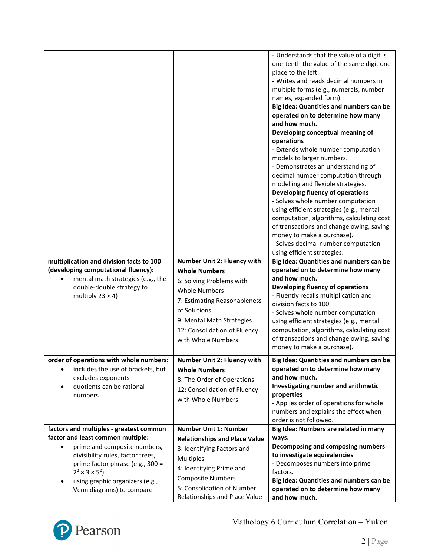|                                                                              |                                                             | - Understands that the value of a digit is         |
|------------------------------------------------------------------------------|-------------------------------------------------------------|----------------------------------------------------|
|                                                                              |                                                             | one-tenth the value of the same digit one          |
|                                                                              |                                                             | place to the left.                                 |
|                                                                              |                                                             | - Writes and reads decimal numbers in              |
|                                                                              |                                                             | multiple forms (e.g., numerals, number             |
|                                                                              |                                                             | names, expanded form).                             |
|                                                                              |                                                             | Big Idea: Quantities and numbers can be            |
|                                                                              |                                                             | operated on to determine how many                  |
|                                                                              |                                                             | and how much.                                      |
|                                                                              |                                                             | Developing conceptual meaning of<br>operations     |
|                                                                              |                                                             | - Extends whole number computation                 |
|                                                                              |                                                             | models to larger numbers.                          |
|                                                                              |                                                             | - Demonstrates an understanding of                 |
|                                                                              |                                                             | decimal number computation through                 |
|                                                                              |                                                             | modelling and flexible strategies.                 |
|                                                                              |                                                             | Developing fluency of operations                   |
|                                                                              |                                                             | - Solves whole number computation                  |
|                                                                              |                                                             | using efficient strategies (e.g., mental           |
|                                                                              |                                                             | computation, algorithms, calculating cost          |
|                                                                              |                                                             | of transactions and change owing, saving           |
|                                                                              |                                                             | money to make a purchase).                         |
|                                                                              |                                                             | - Solves decimal number computation                |
|                                                                              |                                                             | using efficient strategies.                        |
| multiplication and division facts to 100                                     | <b>Number Unit 2: Fluency with</b>                          | Big Idea: Quantities and numbers can be            |
| (developing computational fluency):                                          | <b>Whole Numbers</b>                                        | operated on to determine how many                  |
| mental math strategies (e.g., the                                            |                                                             | and how much.                                      |
|                                                                              | 6: Solving Problems with                                    |                                                    |
| double-double strategy to                                                    | <b>Whole Numbers</b>                                        | Developing fluency of operations                   |
| multiply $23 \times 4$ )                                                     |                                                             | - Fluently recalls multiplication and              |
|                                                                              | 7: Estimating Reasonableness<br>of Solutions                | division facts to 100.                             |
|                                                                              |                                                             | - Solves whole number computation                  |
|                                                                              | 9: Mental Math Strategies                                   | using efficient strategies (e.g., mental           |
|                                                                              | 12: Consolidation of Fluency                                | computation, algorithms, calculating cost          |
|                                                                              | with Whole Numbers                                          | of transactions and change owing, saving           |
|                                                                              |                                                             | money to make a purchase).                         |
| order of operations with whole numbers:                                      | Number Unit 2: Fluency with                                 | Big Idea: Quantities and numbers can be            |
| includes the use of brackets, but                                            | <b>Whole Numbers</b>                                        | operated on to determine how many                  |
| excludes exponents                                                           | 8: The Order of Operations                                  | and how much.                                      |
| quotients can be rational<br>$\bullet$                                       | 12: Consolidation of Fluency                                | Investigating number and arithmetic                |
| numbers                                                                      | with Whole Numbers                                          | properties                                         |
|                                                                              |                                                             | - Applies order of operations for whole            |
|                                                                              |                                                             | numbers and explains the effect when               |
|                                                                              | <b>Number Unit 1: Number</b>                                | order is not followed.                             |
| factors and multiples - greatest common<br>factor and least common multiple: |                                                             | Big Idea: Numbers are related in many<br>ways.     |
| prime and composite numbers,                                                 | <b>Relationships and Place Value</b>                        | Decomposing and composing numbers                  |
| divisibility rules, factor trees,                                            | 3: Identifying Factors and                                  | to investigate equivalencies                       |
| prime factor phrase (e.g., 300 =                                             | <b>Multiples</b>                                            | - Decomposes numbers into prime                    |
| $2^2 \times 3 \times 5^2$                                                    | 4: Identifying Prime and                                    | factors.                                           |
| using graphic organizers (e.g.,<br>٠                                         | <b>Composite Numbers</b>                                    | Big Idea: Quantities and numbers can be            |
| Venn diagrams) to compare                                                    | 5: Consolidation of Number<br>Relationships and Place Value | operated on to determine how many<br>and how much. |

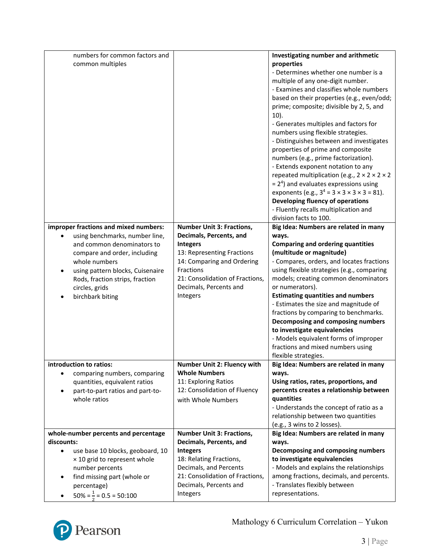|            | numbers for common factors and                   |                                  | Investigating number and arithmetic                                                                       |
|------------|--------------------------------------------------|----------------------------------|-----------------------------------------------------------------------------------------------------------|
|            | common multiples                                 |                                  | properties                                                                                                |
|            |                                                  |                                  | - Determines whether one number is a                                                                      |
|            |                                                  |                                  | multiple of any one-digit number.                                                                         |
|            |                                                  |                                  | - Examines and classifies whole numbers                                                                   |
|            |                                                  |                                  | based on their properties (e.g., even/odd;                                                                |
|            |                                                  |                                  | prime; composite; divisible by 2, 5, and                                                                  |
|            |                                                  |                                  | $10$ ).                                                                                                   |
|            |                                                  |                                  | - Generates multiples and factors for                                                                     |
|            |                                                  |                                  | numbers using flexible strategies.                                                                        |
|            |                                                  |                                  | - Distinguishes between and investigates                                                                  |
|            |                                                  |                                  | properties of prime and composite                                                                         |
|            |                                                  |                                  |                                                                                                           |
|            |                                                  |                                  | numbers (e.g., prime factorization).                                                                      |
|            |                                                  |                                  | - Extends exponent notation to any<br>repeated multiplication (e.g., $2 \times 2 \times 2 \times 2$       |
|            |                                                  |                                  |                                                                                                           |
|            |                                                  |                                  | $= 24$ ) and evaluates expressions using<br>exponents (e.g., $3^4 = 3 \times 3 \times 3 \times 3 = 81$ ). |
|            |                                                  |                                  | Developing fluency of operations                                                                          |
|            |                                                  |                                  | - Fluently recalls multiplication and                                                                     |
|            |                                                  |                                  | division facts to 100.                                                                                    |
|            | improper fractions and mixed numbers:            | <b>Number Unit 3: Fractions,</b> | Big Idea: Numbers are related in many                                                                     |
|            | using benchmarks, number line,                   | Decimals, Percents, and          | ways.                                                                                                     |
|            | and common denominators to                       | <b>Integers</b>                  | <b>Comparing and ordering quantities</b>                                                                  |
|            | compare and order, including                     | 13: Representing Fractions       | (multitude or magnitude)                                                                                  |
|            | whole numbers                                    | 14: Comparing and Ordering       | - Compares, orders, and locates fractions                                                                 |
|            | using pattern blocks, Cuisenaire                 | Fractions                        | using flexible strategies (e.g., comparing                                                                |
|            | Rods, fraction strips, fraction                  | 21: Consolidation of Fractions,  | models; creating common denominators                                                                      |
|            | circles, grids                                   | Decimals, Percents and           | or numerators).                                                                                           |
|            |                                                  | Integers                         | <b>Estimating quantities and numbers</b>                                                                  |
|            | birchbark biting                                 |                                  | - Estimates the size and magnitude of                                                                     |
|            |                                                  |                                  | fractions by comparing to benchmarks.                                                                     |
|            |                                                  |                                  |                                                                                                           |
|            |                                                  |                                  |                                                                                                           |
|            |                                                  |                                  | Decomposing and composing numbers                                                                         |
|            |                                                  |                                  | to investigate equivalencies                                                                              |
|            |                                                  |                                  | - Models equivalent forms of improper                                                                     |
|            |                                                  |                                  | fractions and mixed numbers using                                                                         |
|            |                                                  |                                  | flexible strategies.                                                                                      |
|            | introduction to ratios:                          | Number Unit 2: Fluency with      | Big Idea: Numbers are related in many                                                                     |
|            | comparing numbers, comparing                     | <b>Whole Numbers</b>             | ways.                                                                                                     |
|            | quantities, equivalent ratios                    | 11: Exploring Ratios             | Using ratios, rates, proportions, and                                                                     |
|            | part-to-part ratios and part-to-<br>whole ratios | 12: Consolidation of Fluency     | percents creates a relationship between                                                                   |
|            |                                                  | with Whole Numbers               | quantities                                                                                                |
|            |                                                  |                                  | - Understands the concept of ratio as a<br>relationship between two quantities                            |
|            |                                                  |                                  | (e.g., 3 wins to 2 losses).                                                                               |
|            | whole-number percents and percentage             | <b>Number Unit 3: Fractions,</b> |                                                                                                           |
| discounts: |                                                  | Decimals, Percents, and          | Big Idea: Numbers are related in many<br>ways.                                                            |
| $\bullet$  | use base 10 blocks, geoboard, 10                 | <b>Integers</b>                  | Decomposing and composing numbers                                                                         |
|            | × 10 grid to represent whole                     | 18: Relating Fractions,          | to investigate equivalencies                                                                              |
|            | number percents                                  | Decimals, and Percents           | - Models and explains the relationships                                                                   |
| $\bullet$  | find missing part (whole or                      | 21: Consolidation of Fractions,  | among fractions, decimals, and percents.                                                                  |
|            | percentage)                                      | Decimals, Percents and           | - Translates flexibly between                                                                             |
|            | $50\% = \frac{1}{3} = 0.5 = 50:100$              | Integers                         | representations.                                                                                          |

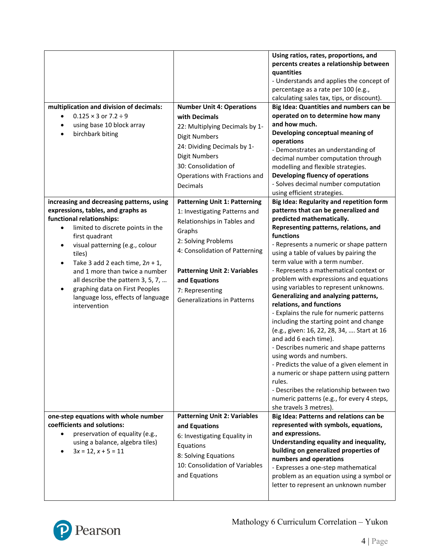| multiplication and division of decimals:<br>$0.125 \times 3$ or $7.2 \div 9$<br>$\bullet$<br>using base 10 block array<br>$\bullet$<br>birchbark biting<br>$\bullet$                                                                                                                                                                                                                                                                            | <b>Number Unit 4: Operations</b><br>with Decimals<br>22: Multiplying Decimals by 1-<br><b>Digit Numbers</b><br>24: Dividing Decimals by 1-<br><b>Digit Numbers</b><br>30: Consolidation of<br>Operations with Fractions and<br>Decimals                                                  | Using ratios, rates, proportions, and<br>percents creates a relationship between<br>quantities<br>- Understands and applies the concept of<br>percentage as a rate per 100 (e.g.,<br>calculating sales tax, tips, or discount).<br>Big Idea: Quantities and numbers can be<br>operated on to determine how many<br>and how much.<br>Developing conceptual meaning of<br>operations<br>- Demonstrates an understanding of<br>decimal number computation through<br>modelling and flexible strategies.<br>Developing fluency of operations<br>- Solves decimal number computation<br>using efficient strategies.                                                                                                                                                                                                                                                                                                                                           |
|-------------------------------------------------------------------------------------------------------------------------------------------------------------------------------------------------------------------------------------------------------------------------------------------------------------------------------------------------------------------------------------------------------------------------------------------------|------------------------------------------------------------------------------------------------------------------------------------------------------------------------------------------------------------------------------------------------------------------------------------------|----------------------------------------------------------------------------------------------------------------------------------------------------------------------------------------------------------------------------------------------------------------------------------------------------------------------------------------------------------------------------------------------------------------------------------------------------------------------------------------------------------------------------------------------------------------------------------------------------------------------------------------------------------------------------------------------------------------------------------------------------------------------------------------------------------------------------------------------------------------------------------------------------------------------------------------------------------|
| increasing and decreasing patterns, using<br>expressions, tables, and graphs as<br>functional relationships:<br>limited to discrete points in the<br>$\bullet$<br>first quadrant<br>visual patterning (e.g., colour<br>tiles)<br>Take 3 add 2 each time, $2n + 1$ ,<br>$\bullet$<br>and 1 more than twice a number<br>all describe the pattern 3, 5, 7,<br>graphing data on First Peoples<br>language loss, effects of language<br>intervention | <b>Patterning Unit 1: Patterning</b><br>1: Investigating Patterns and<br>Relationships in Tables and<br>Graphs<br>2: Solving Problems<br>4: Consolidation of Patterning<br><b>Patterning Unit 2: Variables</b><br>and Equations<br>7: Representing<br><b>Generalizations in Patterns</b> | Big Idea: Regularity and repetition form<br>patterns that can be generalized and<br>predicted mathematically.<br>Representing patterns, relations, and<br>functions<br>- Represents a numeric or shape pattern<br>using a table of values by pairing the<br>term value with a term number.<br>- Represents a mathematical context or<br>problem with expressions and equations<br>using variables to represent unknowns.<br>Generalizing and analyzing patterns,<br>relations, and functions<br>- Explains the rule for numeric patterns<br>including the starting point and change<br>(e.g., given: 16, 22, 28, 34,  Start at 16<br>and add 6 each time).<br>- Describes numeric and shape patterns<br>using words and numbers.<br>- Predicts the value of a given element in<br>a numeric or shape pattern using pattern<br>rules.<br>- Describes the relationship between two<br>numeric patterns (e.g., for every 4 steps,<br>she travels 3 metres). |
| one-step equations with whole number<br>coefficients and solutions:<br>preservation of equality (e.g.,<br>$\bullet$<br>using a balance, algebra tiles)<br>$3x = 12, x + 5 = 11$                                                                                                                                                                                                                                                                 | <b>Patterning Unit 2: Variables</b><br>and Equations<br>6: Investigating Equality in<br>Equations<br>8: Solving Equations<br>10: Consolidation of Variables<br>and Equations                                                                                                             | Big Idea: Patterns and relations can be<br>represented with symbols, equations,<br>and expressions.<br>Understanding equality and inequality,<br>building on generalized properties of<br>numbers and operations<br>- Expresses a one-step mathematical<br>problem as an equation using a symbol or<br>letter to represent an unknown number                                                                                                                                                                                                                                                                                                                                                                                                                                                                                                                                                                                                             |

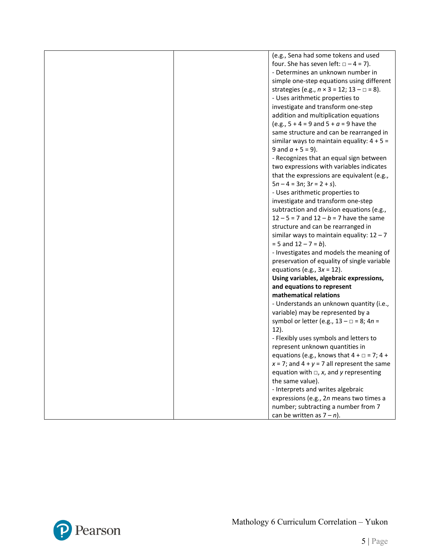|  | (e.g., Sena had some tokens and used                        |
|--|-------------------------------------------------------------|
|  | four. She has seven left: $\Box - 4 = 7$ ).                 |
|  | - Determines an unknown number in                           |
|  |                                                             |
|  | simple one-step equations using different                   |
|  | strategies (e.g., $n \times 3 = 12$ ; $13 - \square = 8$ ). |
|  | - Uses arithmetic properties to                             |
|  | investigate and transform one-step                          |
|  | addition and multiplication equations                       |
|  | (e.g., $5 + 4 = 9$ and $5 + a = 9$ have the                 |
|  | same structure and can be rearranged in                     |
|  | similar ways to maintain equality: $4 + 5 =$                |
|  | 9 and $a + 5 = 9$ ).                                        |
|  | - Recognizes that an equal sign between                     |
|  | two expressions with variables indicates                    |
|  | that the expressions are equivalent (e.g.,                  |
|  | $5n - 4 = 3n$ ; $3r = 2 + s$ ).                             |
|  | - Uses arithmetic properties to                             |
|  | investigate and transform one-step                          |
|  | subtraction and division equations (e.g.,                   |
|  | $12 - 5 = 7$ and $12 - b = 7$ have the same                 |
|  |                                                             |
|  | structure and can be rearranged in                          |
|  | similar ways to maintain equality: $12 - 7$                 |
|  | $= 5$ and $12 - 7 = b$ ).                                   |
|  | - Investigates and models the meaning of                    |
|  | preservation of equality of single variable                 |
|  | equations (e.g., $3x = 12$ ).                               |
|  | Using variables, algebraic expressions,                     |
|  | and equations to represent                                  |
|  | mathematical relations                                      |
|  | - Understands an unknown quantity (i.e.,                    |
|  | variable) may be represented by a                           |
|  | symbol or letter (e.g., $13 - \square = 8$ ; $4n =$         |
|  | $12$ ).                                                     |
|  | - Flexibly uses symbols and letters to                      |
|  | represent unknown quantities in                             |
|  | equations (e.g., knows that $4 + \square = 7$ ; $4 +$       |
|  | $x = 7$ ; and $4 + y = 7$ all represent the same            |
|  | equation with $\Box$ , x, and y representing                |
|  | the same value).                                            |
|  | - Interprets and writes algebraic                           |
|  | expressions (e.g., 2n means two times a                     |
|  | number; subtracting a number from 7                         |
|  | can be written as $7 - n$ ).                                |
|  |                                                             |

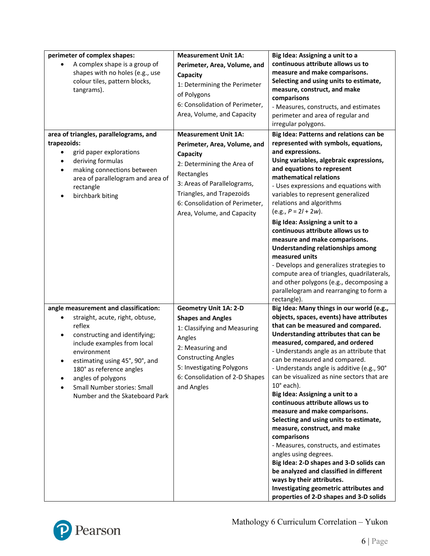| perimeter of complex shapes:<br>A complex shape is a group of<br>shapes with no holes (e.g., use<br>colour tiles, pattern blocks,<br>tangrams).<br>area of triangles, parallelograms, and<br>trapezoids:<br>grid paper explorations<br>deriving formulas<br>making connections between<br>$\bullet$<br>area of parallelogram and area of<br>rectangle<br>birchbark biting<br>$\bullet$ | <b>Measurement Unit 1A:</b><br>Perimeter, Area, Volume, and<br>Capacity<br>1: Determining the Perimeter<br>of Polygons<br>6: Consolidation of Perimeter,<br>Area, Volume, and Capacity<br><b>Measurement Unit 1A:</b><br>Perimeter, Area, Volume, and<br>Capacity<br>2: Determining the Area of<br>Rectangles<br>3: Areas of Parallelograms,<br>Triangles, and Trapezoids<br>6: Consolidation of Perimeter,<br>Area, Volume, and Capacity | Big Idea: Assigning a unit to a<br>continuous attribute allows us to<br>measure and make comparisons.<br>Selecting and using units to estimate,<br>measure, construct, and make<br>comparisons<br>- Measures, constructs, and estimates<br>perimeter and area of regular and<br>irregular polygons.<br>Big Idea: Patterns and relations can be<br>represented with symbols, equations,<br>and expressions.<br>Using variables, algebraic expressions,<br>and equations to represent<br>mathematical relations<br>- Uses expressions and equations with<br>variables to represent generalized<br>relations and algorithms<br>$(e.g., P = 2I + 2w).$<br>Big Idea: Assigning a unit to a<br>continuous attribute allows us to<br>measure and make comparisons.<br><b>Understanding relationships among</b>                                                                          |
|----------------------------------------------------------------------------------------------------------------------------------------------------------------------------------------------------------------------------------------------------------------------------------------------------------------------------------------------------------------------------------------|-------------------------------------------------------------------------------------------------------------------------------------------------------------------------------------------------------------------------------------------------------------------------------------------------------------------------------------------------------------------------------------------------------------------------------------------|----------------------------------------------------------------------------------------------------------------------------------------------------------------------------------------------------------------------------------------------------------------------------------------------------------------------------------------------------------------------------------------------------------------------------------------------------------------------------------------------------------------------------------------------------------------------------------------------------------------------------------------------------------------------------------------------------------------------------------------------------------------------------------------------------------------------------------------------------------------------------------|
|                                                                                                                                                                                                                                                                                                                                                                                        |                                                                                                                                                                                                                                                                                                                                                                                                                                           | measured units<br>- Develops and generalizes strategies to<br>compute area of triangles, quadrilaterals,<br>and other polygons (e.g., decomposing a<br>parallelogram and rearranging to form a<br>rectangle).                                                                                                                                                                                                                                                                                                                                                                                                                                                                                                                                                                                                                                                                    |
| angle measurement and classification:<br>straight, acute, right, obtuse,<br>reflex<br>constructing and identifying;<br>include examples from local<br>environment<br>estimating using 45°, 90°, and<br>180° as reference angles<br>angles of polygons<br><b>Small Number stories: Small</b><br>Number and the Skateboard Park                                                          | <b>Geometry Unit 1A: 2-D</b><br><b>Shapes and Angles</b><br>1: Classifying and Measuring<br>Angles<br>2: Measuring and<br><b>Constructing Angles</b><br>5: Investigating Polygons<br>6: Consolidation of 2-D Shapes<br>and Angles                                                                                                                                                                                                         | Big Idea: Many things in our world (e.g.,<br>objects, spaces, events) have attributes<br>that can be measured and compared.<br>Understanding attributes that can be<br>measured, compared, and ordered<br>- Understands angle as an attribute that<br>can be measured and compared.<br>- Understands angle is additive (e.g., 90°<br>can be visualized as nine sectors that are<br>$10^\circ$ each).<br>Big Idea: Assigning a unit to a<br>continuous attribute allows us to<br>measure and make comparisons.<br>Selecting and using units to estimate,<br>measure, construct, and make<br>comparisons<br>- Measures, constructs, and estimates<br>angles using degrees.<br>Big Idea: 2-D shapes and 3-D solids can<br>be analyzed and classified in different<br>ways by their attributes.<br>Investigating geometric attributes and<br>properties of 2-D shapes and 3-D solids |

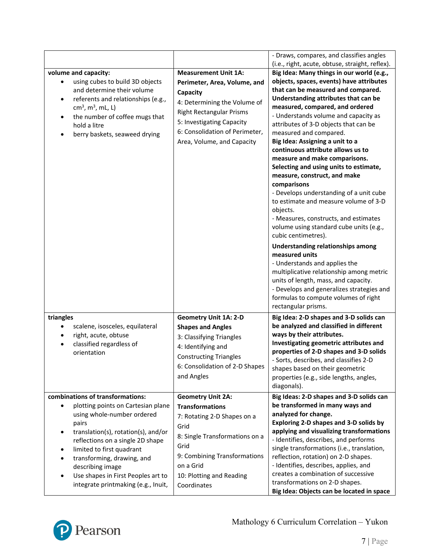| volume and capacity:<br>using cubes to build 3D objects<br>and determine their volume<br>referents and relationships (e.g.,<br>$cm3$ , m <sup>3</sup> , mL, L)<br>the number of coffee mugs that<br>٠<br>hold a litre<br>berry baskets, seaweed drying                                                                                                                                           | <b>Measurement Unit 1A:</b><br>Perimeter, Area, Volume, and<br>Capacity<br>4: Determining the Volume of<br><b>Right Rectangular Prisms</b><br>5: Investigating Capacity<br>6: Consolidation of Perimeter,<br>Area, Volume, and Capacity | - Draws, compares, and classifies angles<br>(i.e., right, acute, obtuse, straight, reflex).<br>Big Idea: Many things in our world (e.g.,<br>objects, spaces, events) have attributes<br>that can be measured and compared.<br>Understanding attributes that can be<br>measured, compared, and ordered<br>- Understands volume and capacity as<br>attributes of 3-D objects that can be<br>measured and compared.<br>Big Idea: Assigning a unit to a<br>continuous attribute allows us to<br>measure and make comparisons.<br>Selecting and using units to estimate,<br>measure, construct, and make<br>comparisons<br>- Develops understanding of a unit cube<br>to estimate and measure volume of 3-D<br>objects.<br>- Measures, constructs, and estimates<br>volume using standard cube units (e.g.,<br>cubic centimetres).<br>Understanding relationships among<br>measured units<br>- Understands and applies the<br>multiplicative relationship among metric<br>units of length, mass, and capacity.<br>- Develops and generalizes strategies and<br>formulas to compute volumes of right |
|--------------------------------------------------------------------------------------------------------------------------------------------------------------------------------------------------------------------------------------------------------------------------------------------------------------------------------------------------------------------------------------------------|-----------------------------------------------------------------------------------------------------------------------------------------------------------------------------------------------------------------------------------------|------------------------------------------------------------------------------------------------------------------------------------------------------------------------------------------------------------------------------------------------------------------------------------------------------------------------------------------------------------------------------------------------------------------------------------------------------------------------------------------------------------------------------------------------------------------------------------------------------------------------------------------------------------------------------------------------------------------------------------------------------------------------------------------------------------------------------------------------------------------------------------------------------------------------------------------------------------------------------------------------------------------------------------------------------------------------------------------------|
| triangles<br>scalene, isosceles, equilateral<br>$\bullet$<br>right, acute, obtuse<br>$\bullet$<br>classified regardless of<br>$\bullet$<br>orientation                                                                                                                                                                                                                                           | <b>Geometry Unit 1A: 2-D</b><br><b>Shapes and Angles</b><br>3: Classifying Triangles<br>4: Identifying and<br><b>Constructing Triangles</b><br>6: Consolidation of 2-D Shapes<br>and Angles                                             | rectangular prisms.<br>Big Idea: 2-D shapes and 3-D solids can<br>be analyzed and classified in different<br>ways by their attributes.<br>Investigating geometric attributes and<br>properties of 2-D shapes and 3-D solids<br>- Sorts, describes, and classifies 2-D<br>shapes based on their geometric<br>properties (e.g., side lengths, angles,<br>diagonals).                                                                                                                                                                                                                                                                                                                                                                                                                                                                                                                                                                                                                                                                                                                             |
| combinations of transformations:<br>plotting points on Cartesian plane<br>$\bullet$<br>using whole-number ordered<br>pairs<br>translation(s), rotation(s), and/or<br>$\bullet$<br>reflections on a single 2D shape<br>limited to first quadrant<br>٠<br>transforming, drawing, and<br>describing image<br>Use shapes in First Peoples art to<br>$\bullet$<br>integrate printmaking (e.g., Inuit, | <b>Geometry Unit 2A:</b><br><b>Transformations</b><br>7: Rotating 2-D Shapes on a<br>Grid<br>8: Single Transformations on a<br>Grid<br>9: Combining Transformations<br>on a Grid<br>10: Plotting and Reading<br>Coordinates             | Big Ideas: 2-D shapes and 3-D solids can<br>be transformed in many ways and<br>analyzed for change.<br>Exploring 2-D shapes and 3-D solids by<br>applying and visualizing transformations<br>- Identifies, describes, and performs<br>single transformations (i.e., translation,<br>reflection, rotation) on 2-D shapes.<br>- Identifies, describes, applies, and<br>creates a combination of successive<br>transformations on 2-D shapes.<br>Big Idea: Objects can be located in space                                                                                                                                                                                                                                                                                                                                                                                                                                                                                                                                                                                                        |

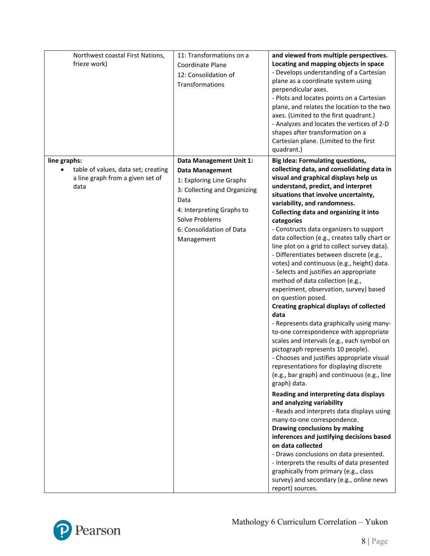| Northwest coastal First Nations,<br>frieze work)                                                | 11: Transformations on a<br>Coordinate Plane<br>12: Consolidation of<br>Transformations                                                                                                                        | and viewed from multiple perspectives.<br>Locating and mapping objects in space<br>- Develops understanding of a Cartesian<br>plane as a coordinate system using<br>perpendicular axes.<br>- Plots and locates points on a Cartesian<br>plane, and relates the location to the two<br>axes. (Limited to the first quadrant.)<br>- Analyzes and locates the vertices of 2-D<br>shapes after transformation on a<br>Cartesian plane. (Limited to the first<br>quadrant.)                                                                                                                                                                                                                                                                                                                                                                                                                                                                                                                                                                                                                                                                                                                                                                                                                                                                                                                                                                                                                                                                         |
|-------------------------------------------------------------------------------------------------|----------------------------------------------------------------------------------------------------------------------------------------------------------------------------------------------------------------|------------------------------------------------------------------------------------------------------------------------------------------------------------------------------------------------------------------------------------------------------------------------------------------------------------------------------------------------------------------------------------------------------------------------------------------------------------------------------------------------------------------------------------------------------------------------------------------------------------------------------------------------------------------------------------------------------------------------------------------------------------------------------------------------------------------------------------------------------------------------------------------------------------------------------------------------------------------------------------------------------------------------------------------------------------------------------------------------------------------------------------------------------------------------------------------------------------------------------------------------------------------------------------------------------------------------------------------------------------------------------------------------------------------------------------------------------------------------------------------------------------------------------------------------|
| line graphs:<br>table of values, data set; creating<br>a line graph from a given set of<br>data | Data Management Unit 1:<br><b>Data Management</b><br>1: Exploring Line Graphs<br>3: Collecting and Organizing<br>Data<br>4: Interpreting Graphs to<br>Solve Problems<br>6: Consolidation of Data<br>Management | <b>Big Idea: Formulating questions,</b><br>collecting data, and consolidating data in<br>visual and graphical displays help us<br>understand, predict, and interpret<br>situations that involve uncertainty,<br>variability, and randomness.<br>Collecting data and organizing it into<br>categories<br>- Constructs data organizers to support<br>data collection (e.g., creates tally chart or<br>line plot on a grid to collect survey data).<br>- Differentiates between discrete (e.g.,<br>votes) and continuous (e.g., height) data.<br>- Selects and justifies an appropriate<br>method of data collection (e.g.,<br>experiment, observation, survey) based<br>on question posed.<br><b>Creating graphical displays of collected</b><br>data<br>- Represents data graphically using many-<br>to-one correspondence with appropriate<br>scales and intervals (e.g., each symbol on<br>pictograph represents 10 people).<br>- Chooses and justifies appropriate visual<br>representations for displaying discrete<br>(e.g., bar graph) and continuous (e.g., line<br>graph) data.<br>Reading and interpreting data displays<br>and analyzing variability<br>- Reads and interprets data displays using<br>many-to-one correspondence.<br>Drawing conclusions by making<br>inferences and justifying decisions based<br>on data collected<br>- Draws conclusions on data presented.<br>- Interprets the results of data presented<br>graphically from primary (e.g., class<br>survey) and secondary (e.g., online news<br>report) sources. |